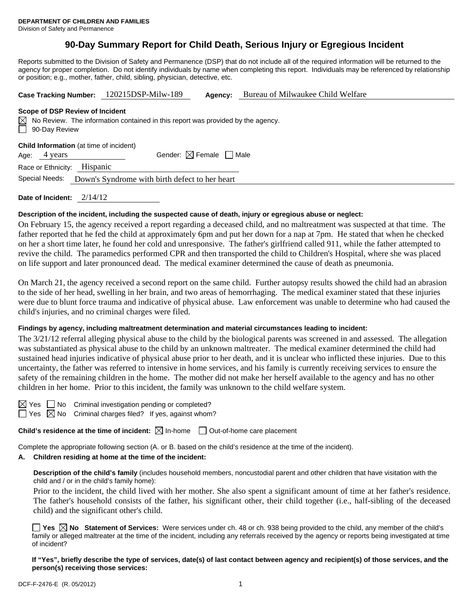# **90-Day Summary Report for Child Death, Serious Injury or Egregious Incident**

Reports submitted to the Division of Safety and Permanence (DSP) that do not include all of the required information will be returned to the agency for proper completion. Do not identify individuals by name when completing this report. Individuals may be referenced by relationship or position; e.g., mother, father, child, sibling, physician, detective, etc.

| <b>Case Tracking Number:</b>                                                                                                                    | 120215DSP-Milw-189 | Agency:                                | Bureau of Milwaukee Child Welfare |  |  |  |  |  |
|-------------------------------------------------------------------------------------------------------------------------------------------------|--------------------|----------------------------------------|-----------------------------------|--|--|--|--|--|
| Scope of DSP Review of Incident<br>$\boxtimes$ No Review. The information contained in this report was provided by the agency.<br>90-Day Review |                    |                                        |                                   |  |  |  |  |  |
| <b>Child Information</b> (at time of incident)<br>4 years<br>Age:                                                                               |                    | Gender: $\boxtimes$ Female $\Box$ Male |                                   |  |  |  |  |  |
| Hispanic<br>Race or Ethnicity:<br>Special Needs:<br>Down's Syndrome with birth defect to her heart                                              |                    |                                        |                                   |  |  |  |  |  |

**Date of Incident:** 2/14/12

#### **Description of the incident, including the suspected cause of death, injury or egregious abuse or neglect:**

On February 15, the agency received a report regarding a deceased child, and no maltreatment was suspected at that time. The father reported that he fed the child at approximately 6pm and put her down for a nap at 7pm. He stated that when he checked on her a short time later, he found her cold and unresponsive. The father's girlfriend called 911, while the father attempted to revive the child. The paramedics performed CPR and then transported the child to Children's Hospital, where she was placed on life support and later pronounced dead. The medical examiner determined the cause of death as pneumonia.

On March 21, the agency received a second report on the same child. Further autopsy results showed the child had an abrasion to the side of her head, swelling in her brain, and two areas of hemorrhaging. The medical examiner stated that these injuries were due to blunt force trauma and indicative of physical abuse. Law enforcement was unable to determine who had caused the child's injuries, and no criminal charges were filed.

#### **Findings by agency, including maltreatment determination and material circumstances leading to incident:**

The 3/21/12 referral alleging physical abuse to the child by the biological parents was screened in and assessed. The allegation was substantiated as physical abuse to the child by an unknown maltreater. The medical examiner determined the child had sustained head injuries indicative of physical abuse prior to her death, and it is unclear who inflicted these injuries. Due to this uncertainty, the father was referred to intensive in home services, and his family is currently receiving services to ensure the safety of the remaining children in the home. The mother did not make her herself available to the agency and has no other children in her home. Prior to this incident, the family was unknown to the child welfare system.

|  |  | Yes No Criminal investigation pending or completed? |
|--|--|-----------------------------------------------------|
|--|--|-----------------------------------------------------|

 $\Box$  Yes  $\boxtimes$  No Criminal charges filed? If yes, against whom?

**Child's residence at the time of incident:**  $\boxtimes$  In-home  $\Box$  Out-of-home care placement

Complete the appropriate following section (A. or B. based on the child's residence at the time of the incident).

#### **A. Children residing at home at the time of the incident:**

**Description of the child's family** (includes household members, noncustodial parent and other children that have visitation with the child and / or in the child's family home):

Prior to the incident, the child lived with her mother. She also spent a significant amount of time at her father's residence. The father's household consists of the father, his significant other, their child together (i.e., half-sibling of the deceased child) and the significant other's child.

**Yes**  $\boxtimes$  **No** Statement of Services: Were services under ch. 48 or ch. 938 being provided to the child, any member of the child's family or alleged maltreater at the time of the incident, including any referrals received by the agency or reports being investigated at time of incident?

**If "Yes", briefly describe the type of services, date(s) of last contact between agency and recipient(s) of those services, and the person(s) receiving those services:**